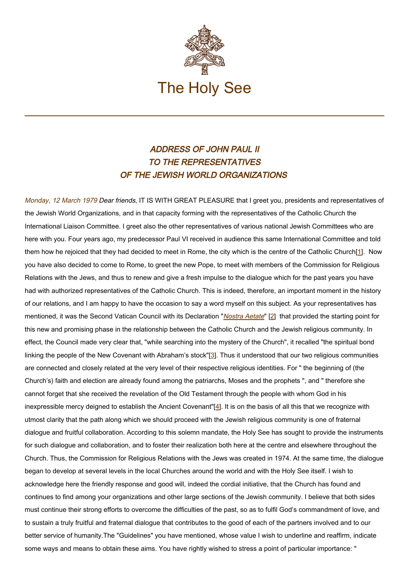

## ADDRESS OF JOHN PAUL II TO THE REPRESENTATIVES OF THE JEWISH WORLD ORGANIZATIONS

Monday, 12 March 1979 Dear friends, IT IS WITH GREAT PLEASURE that I greet you, presidents and representatives of the Jewish World Organizations, and in that capacity forming with the representatives of the Catholic Church the International Liaison Committee. I greet also the other representatives of various national Jewish Committees who are here with you. Four years ago, my predecessor Paul VI received in audience this same International Committee and told them how he rejoiced that they had decided to meet in Rome, the city which is the centre of the Catholic Church[1]. Now you have also decided to come to Rome, to greet the new Pope, to meet with members of the Commission for Religious Relations with the Jews, and thus to renew and give a fresh impulse to the dialogue which for the past years you have had with authorized representatives of the Catholic Church. This is indeed, therefore, an important moment in the history of our relations, and I am happy to have the occasion to say a word myself on this subject. As your representatives has mentioned, it was the Second Vatican Council with its Declaration "[Nostra Aetate](http://www.vatican.va/archive/hist_councils/ii_vatican_council/documents/vat-ii_decl_19651028_nostra-aetate_fr.html)" [2] that provided the starting point for this new and promising phase in the relationship between the Catholic Church and the Jewish religious community. In effect, the Council made very clear that, "while searching into the mystery of the Church", it recalled "the spiritual bond linking the people of the New Covenant with Abraham's stock"[3]. Thus it understood that our two religious communities are connected and closely related at the very level of their respective religious identities. For " the beginning of (the Church's) faith and election are already found among the patriarchs, Moses and the prophets ", and " therefore she cannot forget that she received the revelation of the Old Testament through the people with whom God in his inexpressible mercy deigned to establish the Ancient Covenant"[4]. It is on the basis of all this that we recognize with utmost clarity that the path along which we should proceed with the Jewish religious community is one of fraternal dialogue and fruitful collaboration. According to this solemn mandate, the Holy See has sought to provide the instruments for such dialogue and collaboration, and to foster their realization both here at the centre and elsewhere throughout the Church. Thus, the Commission for Religious Relations with the Jews was created in 1974. At the same time, the dialogue began to develop at several levels in the local Churches around the world and with the Holy See itself. I wish to acknowledge here the friendly response and good will, indeed the cordial initiative, that the Church has found and continues to find among your organizations and other large sections of the Jewish community. I believe that both sides must continue their strong efforts to overcome the difficulties of the past, so as to fulfil God's commandment of love, and to sustain a truly fruitful and fraternal dialogue that contributes to the good of each of the partners involved and to our better service of humanity.The "Guidelines" you have mentioned, whose value I wish to underline and reaffirm, indicate some ways and means to obtain these aims. You have rightly wished to stress a point of particular importance: "